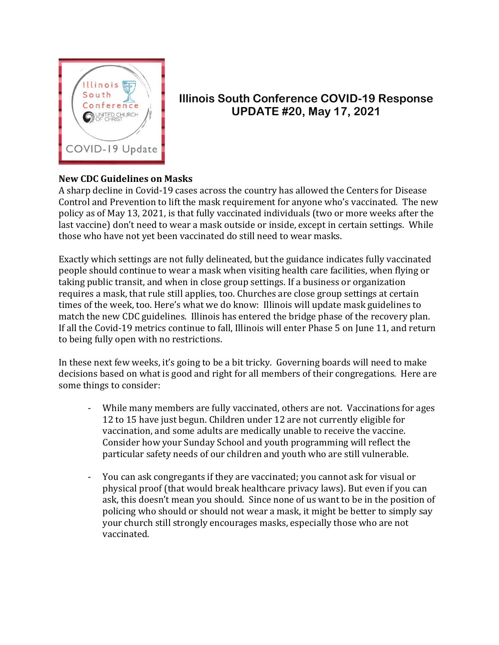

## **Illinois South Conference COVID-19 Response UPDATE #20, May 17, 2021**

## **New CDC Guidelines on Masks**

A sharp decline in Covid-19 cases across the country has allowed the Centers for Disease Control and Prevention to lift the mask requirement for anyone who's vaccinated. The new policy as of May 13, 2021, is that fully vaccinated individuals (two or more weeks after the last vaccine) don't need to wear a mask outside or inside, except in certain settings. While those who have not yet been vaccinated do still need to wear masks.

Exactly which settings are not fully delineated, but the guidance indicates fully vaccinated people should continue to wear a mask when visiting health care facilities, when flying or taking public transit, and when in close group settings. If a business or organization requires a mask, that rule still applies, too. Churches are close group settings at certain times of the week, too. Here's what we do know: Illinois will update mask guidelines to match the new CDC guidelines. Illinois has entered the bridge phase of the recovery plan. If all the Covid-19 metrics continue to fall, Illinois will enter Phase 5 on June 11, and return to being fully open with no restrictions.

In these next few weeks, it's going to be a bit tricky. Governing boards will need to make decisions based on what is good and right for all members of their congregations. Here are some things to consider:

- While many members are fully vaccinated, others are not. Vaccinations for ages 12 to 15 have just begun. Children under 12 are not currently eligible for vaccination, and some adults are medically unable to receive the vaccine. Consider how your Sunday School and youth programming will reflect the particular safety needs of our children and youth who are still vulnerable.
- You can ask congregants if they are vaccinated; you cannot ask for visual or physical proof (that would break healthcare privacy laws). But even if you can ask, this doesn't mean you should. Since none of us want to be in the position of policing who should or should not wear a mask, it might be better to simply say your church still strongly encourages masks, especially those who are not vaccinated.